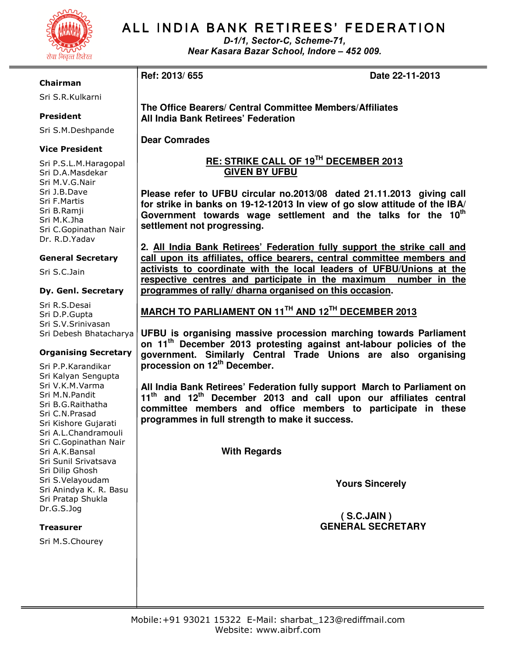

# ALL INDIA BANK RETIREES' FEDERATION

D-1/1, Sector-C, Scheme-71, Near Kasara Bazar School, Indore – 452 009.

**Ref: 2013/ 655 Date 22-11-2013** 

#### Chairman

Sri S.R.Kulkarni

## President

Sri S.M.Deshpande

### Vice President

Sri P.S.L.M.Haragopal Sri D.A.Masdekar Sri M.V.G.Nair Sri J.B.Dave Sri F.Martis Sri B.Ramji Sri M.K.Jha Sri C.Gopinathan Nair Dr. R.D.Yadav

### General Secretary

Sri S.C.Jain

#### Dy. Genl. Secretary

Sri R.S.Desai Sri D.P.Gupta Sri S.V.Srinivasan Sri Debesh Bhatacharya

### Organising Secretary

Sri P.P.Karandikar Sri Kalyan Sengupta Sri V.K.M.Varma Sri M.N.Pandit Sri B.G.Raithatha Sri C.N.Prasad Sri Kishore Gujarati Sri A.L.Chandramouli Sri C.Gopinathan Nair Sri A.K.Bansal Sri Sunil Srivatsava Sri Dilip Ghosh Sri S.Velayoudam Sri Anindya K. R. Basu Sri Pratap Shukla Dr.G.S.Jog

### **Treasurer**

Sri M.S.Chourey

**The Office Bearers/ Central Committee Members/Affiliates All India Bank Retirees' Federation** 

**Dear Comrades** 

# **RE: STRIKE CALL OF 19TH DECEMBER 2013 GIVEN BY UFBU**

**Please refer to UFBU circular no.2013/08 dated 21.11.2013 giving call for strike in banks on 19-12-12013 In view of go slow attitude of the IBA/ Government towards wage settlement and the talks for the 10th settlement not progressing.** 

**2. All India Bank Retirees' Federation fully support the strike call and call upon its affiliates, office bearers, central committee members and activists to coordinate with the local leaders of UFBU/Unions at the respective centres and participate in the maximum number in the programmes of rally/ dharna organised on this occasion.** 

**MARCH TO PARLIAMENT ON 11TH AND 12TH DECEMBER 2013** 

**UFBU is organising massive procession marching towards Parliament on 11th December 2013 protesting against ant-labour policies of the government. Similarly Central Trade Unions are also organising procession on 12th December.** 

**All India Bank Retirees' Federation fully support March to Parliament on 11th and 12th December 2013 and call upon our affiliates central committee members and office members to participate in these programmes in full strength to make it success.** 

 **With Regards** 

 **Yours Sincerely** 

# **( S.C.JAIN ) GENERAL SECRETARY**